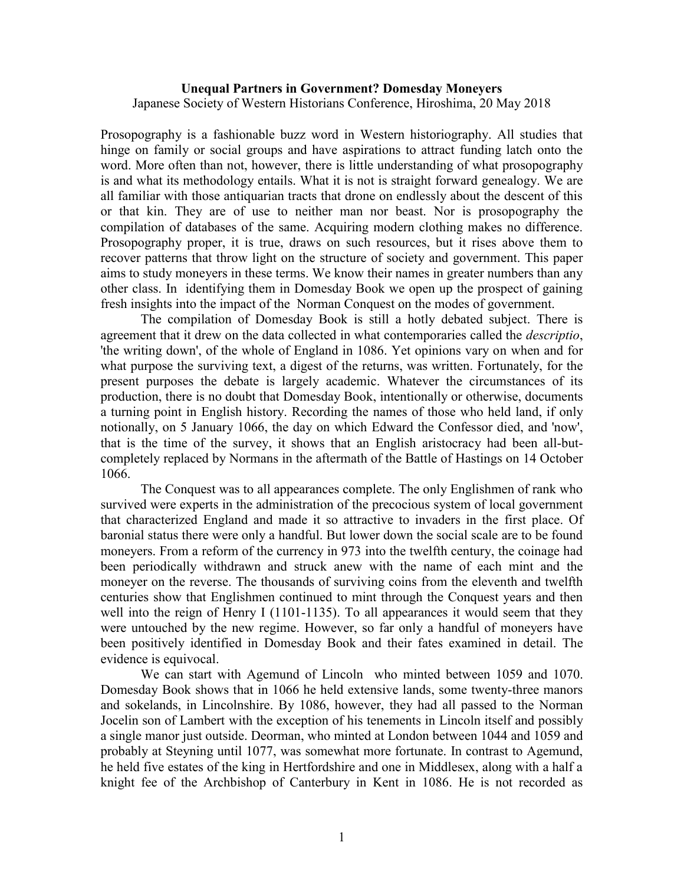## **Unequal Partners in Government? Domesday Moneyers** Japanese Society of Western Historians Conference, Hiroshima, 20 May 2018

Prosopography is a fashionable buzz word in Western historiography. All studies that hinge on family or social groups and have aspirations to attract funding latch onto the word. More often than not, however, there is little understanding of what prosopography is and what its methodology entails. What it is not is straight forward genealogy. We are all familiar with those antiquarian tracts that drone on endlessly about the descent of this or that kin. They are of use to neither man nor beast. Nor is prosopography the compilation of databases of the same. Acquiring modern clothing makes no difference. Prosopography proper, it is true, draws on such resources, but it rises above them to recover patterns that throw light on the structure of society and government. This paper aims to study moneyers in these terms. We know their names in greater numbers than any other class. In identifying them in Domesday Book we open up the prospect of gaining fresh insights into the impact of the Norman Conquest on the modes of government.

The compilation of Domesday Book is still a hotly debated subject. There is agreement that it drew on the data collected in what contemporaries called the *descriptio*, 'the writing down', of the whole of England in 1086. Yet opinions vary on when and for what purpose the surviving text, a digest of the returns, was written. Fortunately, for the present purposes the debate is largely academic. Whatever the circumstances of its production, there is no doubt that Domesday Book, intentionally or otherwise, documents a turning point in English history. Recording the names of those who held land, if only notionally, on 5 January 1066, the day on which Edward the Confessor died, and 'now', that is the time of the survey, it shows that an English aristocracy had been all-butcompletely replaced by Normans in the aftermath of the Battle of Hastings on 14 October 1066.

The Conquest was to all appearances complete. The only Englishmen of rank who survived were experts in the administration of the precocious system of local government that characterized England and made it so attractive to invaders in the first place. Of baronial status there were only a handful. But lower down the social scale are to be found moneyers. From a reform of the currency in 973 into the twelfth century, the coinage had been periodically withdrawn and struck anew with the name of each mint and the moneyer on the reverse. The thousands of surviving coins from the eleventh and twelfth centuries show that Englishmen continued to mint through the Conquest years and then well into the reign of Henry I (1101-1135). To all appearances it would seem that they were untouched by the new regime. However, so far only a handful of moneyers have been positively identified in Domesday Book and their fates examined in detail. The evidence is equivocal.

We can start with Agemund of Lincoln who minted between 1059 and 1070. Domesday Book shows that in 1066 he held extensive lands, some twenty-three manors and sokelands, in Lincolnshire. By 1086, however, they had all passed to the Norman Jocelin son of Lambert with the exception of his tenements in Lincoln itself and possibly a single manor just outside. Deorman, who minted at London between 1044 and 1059 and probably at Steyning until 1077, was somewhat more fortunate. In contrast to Agemund, he held five estates of the king in Hertfordshire and one in Middlesex, along with a half a knight fee of the Archbishop of Canterbury in Kent in 1086. He is not recorded as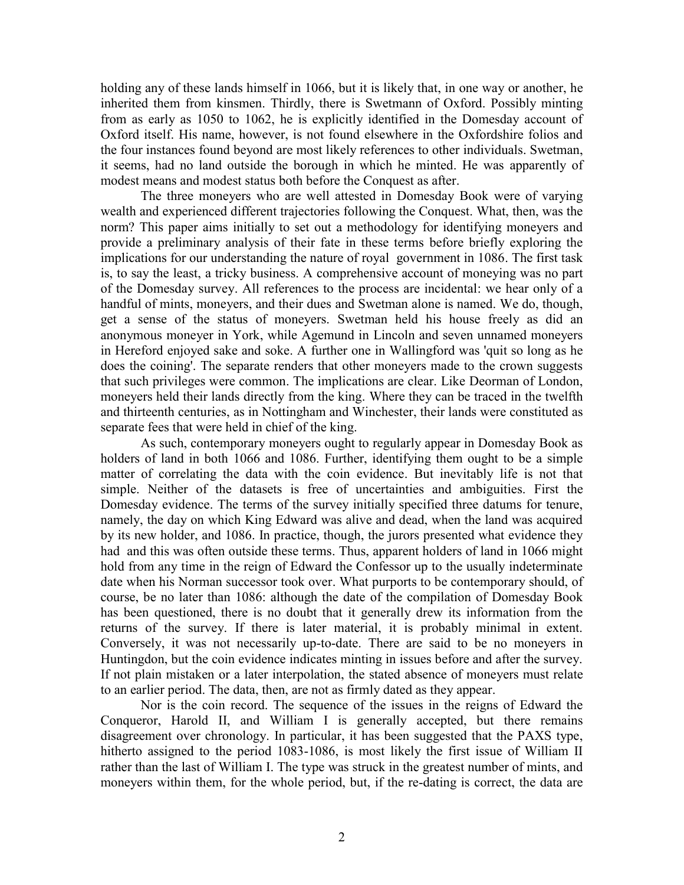holding any of these lands himself in 1066, but it is likely that, in one way or another, he inherited them from kinsmen. Thirdly, there is Swetmann of Oxford. Possibly minting from as early as 1050 to 1062, he is explicitly identified in the Domesday account of Oxford itself. His name, however, is not found elsewhere in the Oxfordshire folios and the four instances found beyond are most likely references to other individuals. Swetman, it seems, had no land outside the borough in which he minted. He was apparently of modest means and modest status both before the Conquest as after.

The three moneyers who are well attested in Domesday Book were of varying wealth and experienced different trajectories following the Conquest. What, then, was the norm? This paper aims initially to set out a methodology for identifying moneyers and provide a preliminary analysis of their fate in these terms before briefly exploring the implications for our understanding the nature of royal government in 1086. The first task is, to say the least, a tricky business. A comprehensive account of moneying was no part of the Domesday survey. All references to the process are incidental: we hear only of a handful of mints, moneyers, and their dues and Swetman alone is named. We do, though, get a sense of the status of moneyers. Swetman held his house freely as did an anonymous moneyer in York, while Agemund in Lincoln and seven unnamed moneyers in Hereford enjoyed sake and soke. A further one in Wallingford was 'quit so long as he does the coining'. The separate renders that other moneyers made to the crown suggests that such privileges were common. The implications are clear. Like Deorman of London, moneyers held their lands directly from the king. Where they can be traced in the twelfth and thirteenth centuries, as in Nottingham and Winchester, their lands were constituted as separate fees that were held in chief of the king.

As such, contemporary moneyers ought to regularly appear in Domesday Book as holders of land in both 1066 and 1086. Further, identifying them ought to be a simple matter of correlating the data with the coin evidence. But inevitably life is not that simple. Neither of the datasets is free of uncertainties and ambiguities. First the Domesday evidence. The terms of the survey initially specified three datums for tenure, namely, the day on which King Edward was alive and dead, when the land was acquired by its new holder, and 1086. In practice, though, the jurors presented what evidence they had and this was often outside these terms. Thus, apparent holders of land in 1066 might hold from any time in the reign of Edward the Confessor up to the usually indeterminate date when his Norman successor took over. What purports to be contemporary should, of course, be no later than 1086: although the date of the compilation of Domesday Book has been questioned, there is no doubt that it generally drew its information from the returns of the survey. If there is later material, it is probably minimal in extent. Conversely, it was not necessarily up-to-date. There are said to be no moneyers in Huntingdon, but the coin evidence indicates minting in issues before and after the survey. If not plain mistaken or a later interpolation, the stated absence of moneyers must relate to an earlier period. The data, then, are not as firmly dated as they appear.

Nor is the coin record. The sequence of the issues in the reigns of Edward the Conqueror, Harold II, and William I is generally accepted, but there remains disagreement over chronology. In particular, it has been suggested that the PAXS type, hitherto assigned to the period 1083-1086, is most likely the first issue of William II rather than the last of William I. The type was struck in the greatest number of mints, and moneyers within them, for the whole period, but, if the re-dating is correct, the data are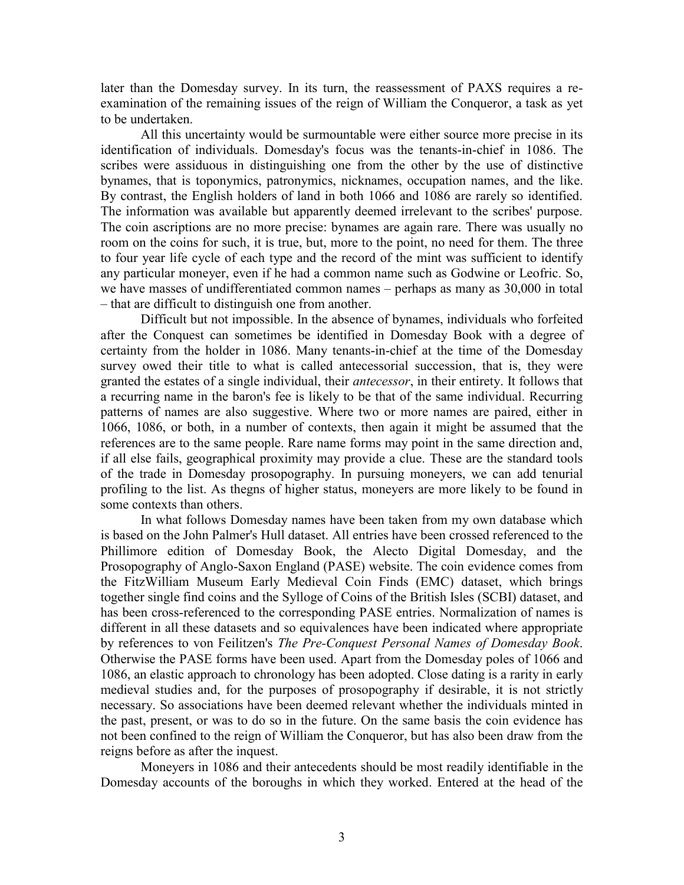later than the Domesday survey. In its turn, the reassessment of PAXS requires a reexamination of the remaining issues of the reign of William the Conqueror, a task as yet to be undertaken.

All this uncertainty would be surmountable were either source more precise in its identification of individuals. Domesday's focus was the tenants-in-chief in 1086. The scribes were assiduous in distinguishing one from the other by the use of distinctive bynames, that is toponymics, patronymics, nicknames, occupation names, and the like. By contrast, the English holders of land in both 1066 and 1086 are rarely so identified. The information was available but apparently deemed irrelevant to the scribes' purpose. The coin ascriptions are no more precise: bynames are again rare. There was usually no room on the coins for such, it is true, but, more to the point, no need for them. The three to four year life cycle of each type and the record of the mint was sufficient to identify any particular moneyer, even if he had a common name such as Godwine or Leofric. So, we have masses of undifferentiated common names – perhaps as many as 30,000 in total – that are difficult to distinguish one from another.

Difficult but not impossible. In the absence of bynames, individuals who forfeited after the Conquest can sometimes be identified in Domesday Book with a degree of certainty from the holder in 1086. Many tenants-in-chief at the time of the Domesday survey owed their title to what is called antecessorial succession, that is, they were granted the estates of a single individual, their *antecessor*, in their entirety. It follows that a recurring name in the baron's fee is likely to be that of the same individual. Recurring patterns of names are also suggestive. Where two or more names are paired, either in 1066, 1086, or both, in a number of contexts, then again it might be assumed that the references are to the same people. Rare name forms may point in the same direction and, if all else fails, geographical proximity may provide a clue. These are the standard tools of the trade in Domesday prosopography. In pursuing moneyers, we can add tenurial profiling to the list. As thegns of higher status, moneyers are more likely to be found in some contexts than others.

In what follows Domesday names have been taken from my own database which is based on the John Palmer's Hull dataset. All entries have been crossed referenced to the Phillimore edition of Domesday Book, the Alecto Digital Domesday, and the Prosopography of Anglo-Saxon England (PASE) website. The coin evidence comes from the FitzWilliam Museum Early Medieval Coin Finds (EMC) dataset, which brings together single find coins and the Sylloge of Coins of the British Isles (SCBI) dataset, and has been cross-referenced to the corresponding PASE entries. Normalization of names is different in all these datasets and so equivalences have been indicated where appropriate by references to von Feilitzen's *The Pre-Conquest Personal Names of Domesday Book*. Otherwise the PASE forms have been used. Apart from the Domesday poles of 1066 and 1086, an elastic approach to chronology has been adopted. Close dating is a rarity in early medieval studies and, for the purposes of prosopography if desirable, it is not strictly necessary. So associations have been deemed relevant whether the individuals minted in the past, present, or was to do so in the future. On the same basis the coin evidence has not been confined to the reign of William the Conqueror, but has also been draw from the reigns before as after the inquest.

Moneyers in 1086 and their antecedents should be most readily identifiable in the Domesday accounts of the boroughs in which they worked. Entered at the head of the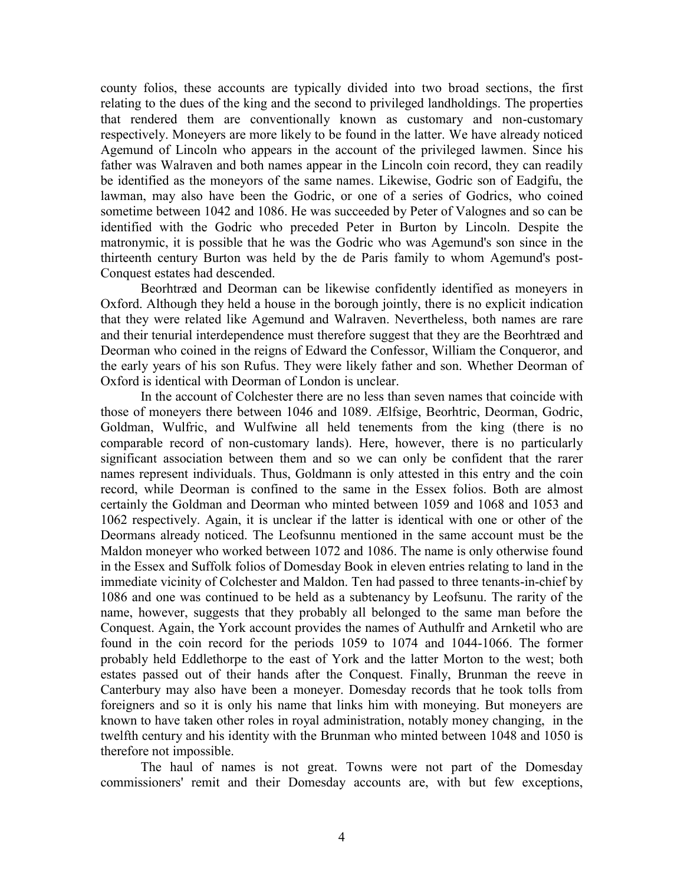county folios, these accounts are typically divided into two broad sections, the first relating to the dues of the king and the second to privileged landholdings. The properties that rendered them are conventionally known as customary and non-customary respectively. Moneyers are more likely to be found in the latter. We have already noticed Agemund of Lincoln who appears in the account of the privileged lawmen. Since his father was Walraven and both names appear in the Lincoln coin record, they can readily be identified as the moneyors of the same names. Likewise, Godric son of Eadgifu, the lawman, may also have been the Godric, or one of a series of Godrics, who coined sometime between 1042 and 1086. He was succeeded by Peter of Valognes and so can be identified with the Godric who preceded Peter in Burton by Lincoln. Despite the matronymic, it is possible that he was the Godric who was Agemund's son since in the thirteenth century Burton was held by the de Paris family to whom Agemund's post-Conquest estates had descended.

Beorhtræd and Deorman can be likewise confidently identified as moneyers in Oxford. Although they held a house in the borough jointly, there is no explicit indication that they were related like Agemund and Walraven. Nevertheless, both names are rare and their tenurial interdependence must therefore suggest that they are the Beorhtræd and Deorman who coined in the reigns of Edward the Confessor, William the Conqueror, and the early years of his son Rufus. They were likely father and son. Whether Deorman of Oxford is identical with Deorman of London is unclear.

In the account of Colchester there are no less than seven names that coincide with those of moneyers there between 1046 and 1089. Ælfsige, Beorhtric, Deorman, Godric, Goldman, Wulfric, and Wulfwine all held tenements from the king (there is no comparable record of non-customary lands). Here, however, there is no particularly significant association between them and so we can only be confident that the rarer names represent individuals. Thus, Goldmann is only attested in this entry and the coin record, while Deorman is confined to the same in the Essex folios. Both are almost certainly the Goldman and Deorman who minted between 1059 and 1068 and 1053 and 1062 respectively. Again, it is unclear if the latter is identical with one or other of the Deormans already noticed. The Leofsunnu mentioned in the same account must be the Maldon moneyer who worked between 1072 and 1086. The name is only otherwise found in the Essex and Suffolk folios of Domesday Book in eleven entries relating to land in the immediate vicinity of Colchester and Maldon. Ten had passed to three tenants-in-chief by 1086 and one was continued to be held as a subtenancy by Leofsunu. The rarity of the name, however, suggests that they probably all belonged to the same man before the Conquest. Again, the York account provides the names of Authulfr and Arnketil who are found in the coin record for the periods 1059 to 1074 and 1044-1066. The former probably held Eddlethorpe to the east of York and the latter Morton to the west; both estates passed out of their hands after the Conquest. Finally, Brunman the reeve in Canterbury may also have been a moneyer. Domesday records that he took tolls from foreigners and so it is only his name that links him with moneying. But moneyers are known to have taken other roles in royal administration, notably money changing, in the twelfth century and his identity with the Brunman who minted between 1048 and 1050 is therefore not impossible.

The haul of names is not great. Towns were not part of the Domesday commissioners' remit and their Domesday accounts are, with but few exceptions,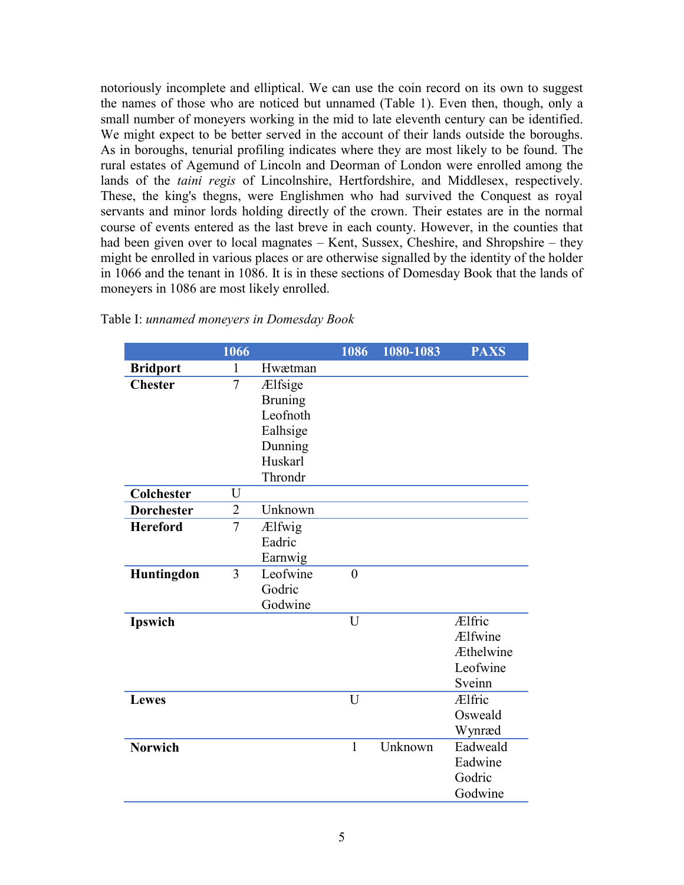notoriously incomplete and elliptical. We can use the coin record on its own to suggest the names of those who are noticed but unnamed (Table 1). Even then, though, only a small number of moneyers working in the mid to late eleventh century can be identified. We might expect to be better served in the account of their lands outside the boroughs. As in boroughs, tenurial profiling indicates where they are most likely to be found. The rural estates of Agemund of Lincoln and Deorman of London were enrolled among the lands of the *taini regis* of Lincolnshire, Hertfordshire, and Middlesex, respectively. These, the king's thegns, were Englishmen who had survived the Conquest as royal servants and minor lords holding directly of the crown. Their estates are in the normal course of events entered as the last breve in each county. However, in the counties that had been given over to local magnates – Kent, Sussex, Cheshire, and Shropshire – they might be enrolled in various places or are otherwise signalled by the identity of the holder in 1066 and the tenant in 1086. It is in these sections of Domesday Book that the lands of moneyers in 1086 are most likely enrolled.

|                   | 1066           |                | 1086           | 1080-1083 | <b>PAXS</b>   |
|-------------------|----------------|----------------|----------------|-----------|---------------|
| <b>Bridport</b>   | $\mathbf{1}$   | Hwætman        |                |           |               |
| <b>Chester</b>    | $\overline{7}$ | Ælfsige        |                |           |               |
|                   |                | <b>Bruning</b> |                |           |               |
|                   |                | Leofnoth       |                |           |               |
|                   |                | Ealhsige       |                |           |               |
|                   |                | Dunning        |                |           |               |
|                   |                | Huskarl        |                |           |               |
|                   |                | Throndr        |                |           |               |
| Colchester        | U              |                |                |           |               |
| <b>Dorchester</b> | $\overline{2}$ | Unknown        |                |           |               |
| <b>Hereford</b>   | $\overline{7}$ | Ælfwig         |                |           |               |
|                   |                | Eadric         |                |           |               |
|                   |                | Earnwig        |                |           |               |
| Huntingdon        | $\overline{3}$ | Leofwine       | $\overline{0}$ |           |               |
|                   |                | Godric         |                |           |               |
|                   |                | Godwine        |                |           |               |
| Ipswich           |                |                | U              |           | <b>Ælfric</b> |
|                   |                |                |                |           | Ælfwine       |
|                   |                |                |                |           | Æthelwine     |
|                   |                |                |                |           | Leofwine      |
|                   |                |                |                |           | Sveinn        |
| <b>Lewes</b>      |                |                | U              |           | Ælfric        |
|                   |                |                |                |           | Osweald       |
|                   |                |                |                |           | Wynræd        |
| <b>Norwich</b>    |                |                | $\mathbf{1}$   | Unknown   | Eadweald      |
|                   |                |                |                |           | Eadwine       |
|                   |                |                |                |           | Godric        |
|                   |                |                |                |           | Godwine       |
|                   |                |                |                |           |               |

Table I: *unnamed moneyers in Domesday Book*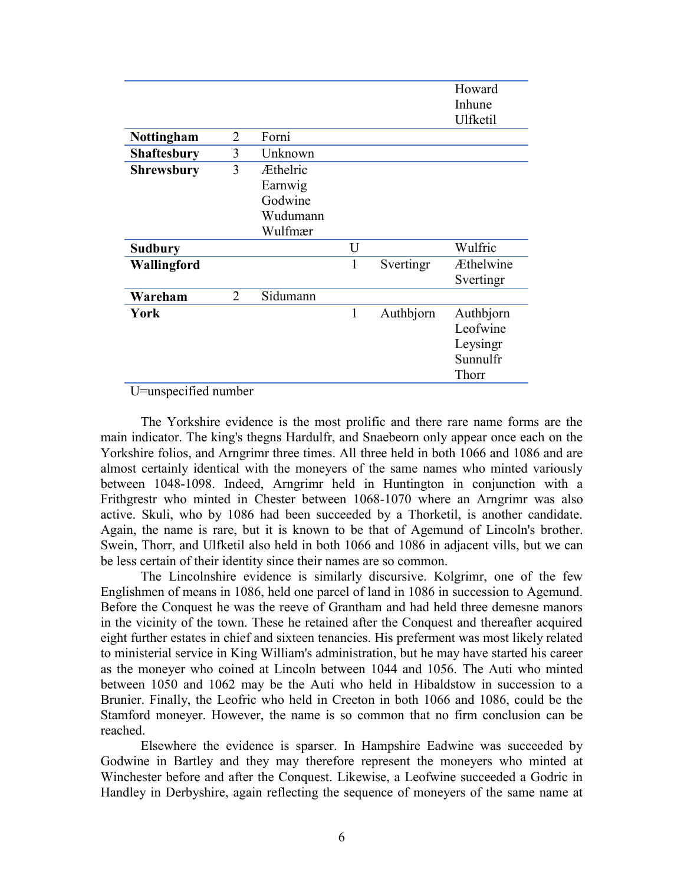|                    |                |          |   |           | Howard<br>Inhune |
|--------------------|----------------|----------|---|-----------|------------------|
|                    |                |          |   |           | Ulfketil         |
| Nottingham         | $\overline{2}$ | Forni    |   |           |                  |
| <b>Shaftesbury</b> | 3              | Unknown  |   |           |                  |
| <b>Shrewsbury</b>  | 3              | Æthelric |   |           |                  |
|                    |                | Earnwig  |   |           |                  |
|                    |                | Godwine  |   |           |                  |
|                    |                | Wudumann |   |           |                  |
|                    |                | Wulfmær  |   |           |                  |
| <b>Sudbury</b>     |                |          | U |           | Wulfric          |
| Wallingford        |                |          | 1 | Svertingr | <b>Æthelwine</b> |
|                    |                |          |   |           | Svertingr        |
| Wareham            | 2              | Sidumann |   |           |                  |
| York               |                |          | 1 | Authbjorn | Authbjorn        |
|                    |                |          |   |           | Leofwine         |
|                    |                |          |   |           | Leysingr         |
|                    |                |          |   |           | Sunnulfr         |
|                    |                |          |   |           | Thorr            |

U=unspecified number

The Yorkshire evidence is the most prolific and there rare name forms are the main indicator. The king's thegns Hardulfr, and Snaebeorn only appear once each on the Yorkshire folios, and Arngrimr three times. All three held in both 1066 and 1086 and are almost certainly identical with the moneyers of the same names who minted variously between 1048-1098. Indeed, Arngrimr held in Huntington in conjunction with a Frithgrestr who minted in Chester between 1068-1070 where an Arngrimr was also active. Skuli, who by 1086 had been succeeded by a Thorketil, is another candidate. Again, the name is rare, but it is known to be that of Agemund of Lincoln's brother. Swein, Thorr, and Ulfketil also held in both 1066 and 1086 in adjacent vills, but we can be less certain of their identity since their names are so common.

The Lincolnshire evidence is similarly discursive. Kolgrimr, one of the few Englishmen of means in 1086, held one parcel of land in 1086 in succession to Agemund. Before the Conquest he was the reeve of Grantham and had held three demesne manors in the vicinity of the town. These he retained after the Conquest and thereafter acquired eight further estates in chief and sixteen tenancies. His preferment was most likely related to ministerial service in King William's administration, but he may have started his career as the moneyer who coined at Lincoln between 1044 and 1056. The Auti who minted between 1050 and 1062 may be the Auti who held in Hibaldstow in succession to a Brunier. Finally, the Leofric who held in Creeton in both 1066 and 1086, could be the Stamford moneyer. However, the name is so common that no firm conclusion can be reached.

Elsewhere the evidence is sparser. In Hampshire Eadwine was succeeded by Godwine in Bartley and they may therefore represent the moneyers who minted at Winchester before and after the Conquest. Likewise, a Leofwine succeeded a Godric in Handley in Derbyshire, again reflecting the sequence of moneyers of the same name at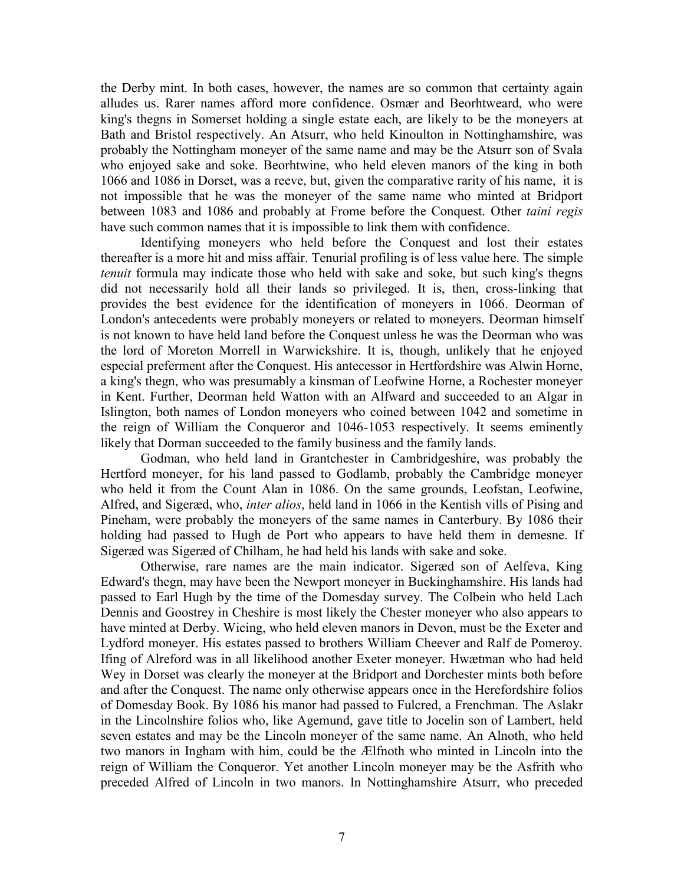the Derby mint. In both cases, however, the names are so common that certainty again alludes us. Rarer names afford more confidence. Osmær and Beorhtweard, who were king's thegns in Somerset holding a single estate each, are likely to be the moneyers at Bath and Bristol respectively. An Atsurr, who held Kinoulton in Nottinghamshire, was probably the Nottingham moneyer of the same name and may be the Atsurr son of Svala who enjoyed sake and soke. Beorhtwine, who held eleven manors of the king in both 1066 and 1086 in Dorset, was a reeve, but, given the comparative rarity of his name, it is not impossible that he was the moneyer of the same name who minted at Bridport between 1083 and 1086 and probably at Frome before the Conquest. Other *taini regis* have such common names that it is impossible to link them with confidence.

Identifying moneyers who held before the Conquest and lost their estates thereafter is a more hit and miss affair. Tenurial profiling is of less value here. The simple *tenuit* formula may indicate those who held with sake and soke, but such king's thegns did not necessarily hold all their lands so privileged. It is, then, cross-linking that provides the best evidence for the identification of moneyers in 1066. Deorman of London's antecedents were probably moneyers or related to moneyers. Deorman himself is not known to have held land before the Conquest unless he was the Deorman who was the lord of Moreton Morrell in Warwickshire. It is, though, unlikely that he enjoyed especial preferment after the Conquest. His antecessor in Hertfordshire was Alwin Horne, a king's thegn, who was presumably a kinsman of Leofwine Horne, a Rochester moneyer in Kent. Further, Deorman held Watton with an Alfward and succeeded to an Algar in Islington, both names of London moneyers who coined between 1042 and sometime in the reign of William the Conqueror and 1046-1053 respectively. It seems eminently likely that Dorman succeeded to the family business and the family lands.

Godman, who held land in Grantchester in Cambridgeshire, was probably the Hertford moneyer, for his land passed to Godlamb, probably the Cambridge moneyer who held it from the Count Alan in 1086. On the same grounds, Leofstan, Leofwine, Alfred, and Sigeræd, who, *inter alios*, held land in 1066 in the Kentish vills of Pising and Pineham, were probably the moneyers of the same names in Canterbury. By 1086 their holding had passed to Hugh de Port who appears to have held them in demesne. If Sigeræd was Sigeræd of Chilham, he had held his lands with sake and soke.

Otherwise, rare names are the main indicator. Sigeræd son of Aelfeva, King Edward's thegn, may have been the Newport moneyer in Buckinghamshire. His lands had passed to Earl Hugh by the time of the Domesday survey. The Colbein who held Lach Dennis and Goostrey in Cheshire is most likely the Chester moneyer who also appears to have minted at Derby. Wicing, who held eleven manors in Devon, must be the Exeter and Lydford moneyer. His estates passed to brothers William Cheever and Ralf de Pomeroy. Ifing of Alreford was in all likelihood another Exeter moneyer. Hwætman who had held Wey in Dorset was clearly the moneyer at the Bridport and Dorchester mints both before and after the Conquest. The name only otherwise appears once in the Herefordshire folios of Domesday Book. By 1086 his manor had passed to Fulcred, a Frenchman. The Aslakr in the Lincolnshire folios who, like Agemund, gave title to Jocelin son of Lambert, held seven estates and may be the Lincoln moneyer of the same name. An Alnoth, who held two manors in Ingham with him, could be the Ælfnoth who minted in Lincoln into the reign of William the Conqueror. Yet another Lincoln moneyer may be the Asfrith who preceded Alfred of Lincoln in two manors. In Nottinghamshire Atsurr, who preceded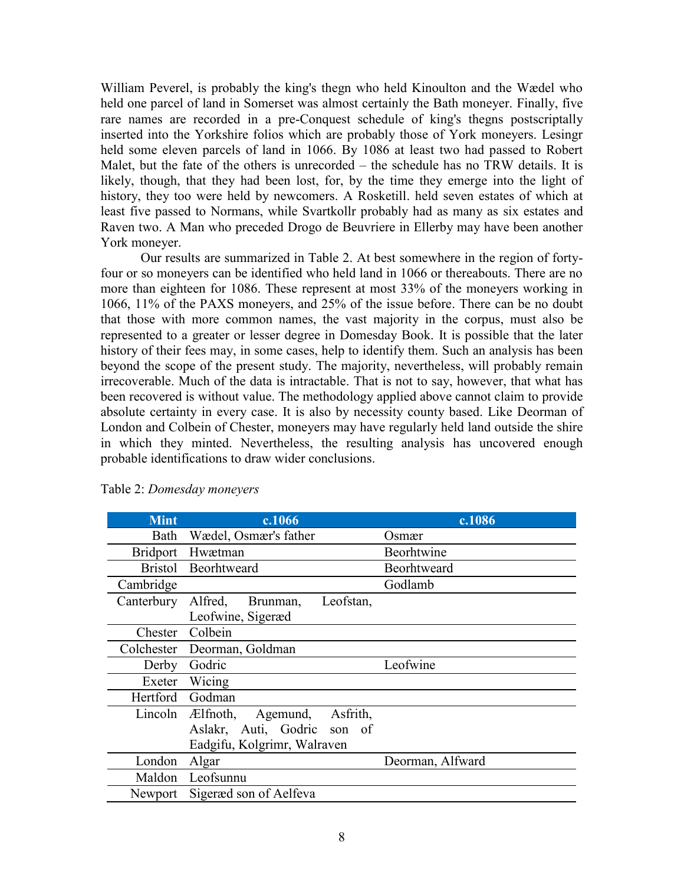William Peverel, is probably the king's thegn who held Kinoulton and the Wædel who held one parcel of land in Somerset was almost certainly the Bath moneyer. Finally, five rare names are recorded in a pre-Conquest schedule of king's thegns postscriptally inserted into the Yorkshire folios which are probably those of York moneyers. Lesingr held some eleven parcels of land in 1066. By 1086 at least two had passed to Robert Malet, but the fate of the others is unrecorded – the schedule has no TRW details. It is likely, though, that they had been lost, for, by the time they emerge into the light of history, they too were held by newcomers. A Rosketill. held seven estates of which at least five passed to Normans, while Svartkollr probably had as many as six estates and Raven two. A Man who preceded Drogo de Beuvriere in Ellerby may have been another York moneyer.

Our results are summarized in Table 2. At best somewhere in the region of fortyfour or so moneyers can be identified who held land in 1066 or thereabouts. There are no more than eighteen for 1086. These represent at most 33% of the moneyers working in 1066, 11% of the PAXS moneyers, and 25% of the issue before. There can be no doubt that those with more common names, the vast majority in the corpus, must also be represented to a greater or lesser degree in Domesday Book. It is possible that the later history of their fees may, in some cases, help to identify them. Such an analysis has been beyond the scope of the present study. The majority, nevertheless, will probably remain irrecoverable. Much of the data is intractable. That is not to say, however, that what has been recovered is without value. The methodology applied above cannot claim to provide absolute certainty in every case. It is also by necessity county based. Like Deorman of London and Colbein of Chester, moneyers may have regularly held land outside the shire in which they minted. Nevertheless, the resulting analysis has uncovered enough probable identifications to draw wider conclusions.

| <b>Mint</b>  | c.1066                                           | c.1086           |
|--------------|--------------------------------------------------|------------------|
| Bath         | Wædel, Osmær's father                            | Osmær            |
|              | Bridport Hwætman                                 | Beorhtwine       |
|              | Bristol Beorhtweard                              | Beorhtweard      |
| Cambridge    |                                                  | Godlamb          |
| Canterbury   | Leofstan,<br>Alfred,<br>Brunman,                 |                  |
|              | Leofwine, Sigeræd                                |                  |
| Chester      | Colbein                                          |                  |
|              | Colchester Deorman, Goldman                      |                  |
| Derby        | Godric                                           | Leofwine         |
| Exeter       | Wicing                                           |                  |
| Hertford     | Godman                                           |                  |
|              | Lincoln <i>E</i> lfnoth,<br>Asfrith,<br>Agemund, |                  |
|              | Aslakr, Auti, Godric son of                      |                  |
|              | Eadgifu, Kolgrimr, Walraven                      |                  |
| London Algar |                                                  | Deorman, Alfward |
|              | Maldon Leofsunnu                                 |                  |
| Newport      | Sigeræd son of Aelfeva                           |                  |

Table 2: *Domesday moneyers*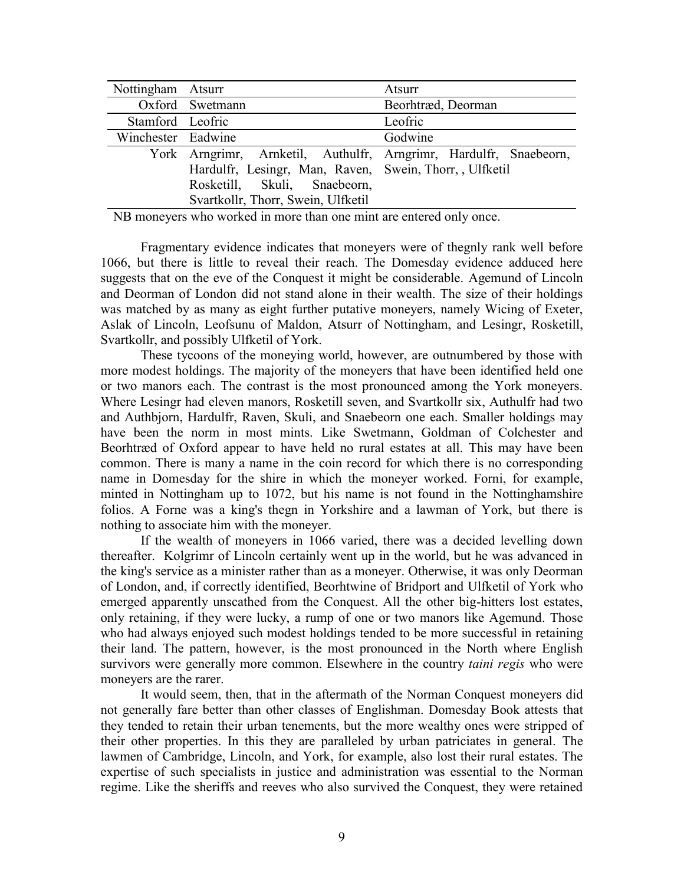| Nottingham Atsurr  |                                                                   | Atsurr             |
|--------------------|-------------------------------------------------------------------|--------------------|
|                    | Oxford Swetmann                                                   | Beorhtræd, Deorman |
| Stamford Leofric   |                                                                   | Leofric            |
| Winchester Eadwine |                                                                   | Godwine            |
|                    | York Arngrimr, Arnketil, Authulfr, Arngrimr, Hardulfr, Snaebeorn, |                    |
|                    | Hardulfr, Lesingr, Man, Raven, Swein, Thorr, Ulfketil             |                    |
|                    | Rosketill, Skuli, Snaebeorn,                                      |                    |
|                    | Svartkollr, Thorr, Swein, Ulfketil                                |                    |

NB moneyers who worked in more than one mint are entered only once.

Fragmentary evidence indicates that moneyers were of thegnly rank well before 1066, but there is little to reveal their reach. The Domesday evidence adduced here suggests that on the eve of the Conquest it might be considerable. Agemund of Lincoln and Deorman of London did not stand alone in their wealth. The size of their holdings was matched by as many as eight further putative moneyers, namely Wicing of Exeter, Aslak of Lincoln, Leofsunu of Maldon, Atsurr of Nottingham, and Lesingr, Rosketill, Svartkollr, and possibly Ulfketil of York.

These tycoons of the moneying world, however, are outnumbered by those with more modest holdings. The majority of the moneyers that have been identified held one or two manors each. The contrast is the most pronounced among the York moneyers. Where Lesingr had eleven manors, Rosketill seven, and Svartkollr six, Authulfr had two and Authbjorn, Hardulfr, Raven, Skuli, and Snaebeorn one each. Smaller holdings may have been the norm in most mints. Like Swetmann, Goldman of Colchester and Beorhtræd of Oxford appear to have held no rural estates at all. This may have been common. There is many a name in the coin record for which there is no corresponding name in Domesday for the shire in which the moneyer worked. Forni, for example, minted in Nottingham up to 1072, but his name is not found in the Nottinghamshire folios. A Forne was a king's thegn in Yorkshire and a lawman of York, but there is nothing to associate him with the moneyer.

If the wealth of moneyers in 1066 varied, there was a decided levelling down thereafter. Kolgrimr of Lincoln certainly went up in the world, but he was advanced in the king's service as a minister rather than as a moneyer. Otherwise, it was only Deorman of London, and, if correctly identified, Beorhtwine of Bridport and Ulfketil of York who emerged apparently unscathed from the Conquest. All the other big-hitters lost estates, only retaining, if they were lucky, a rump of one or two manors like Agemund. Those who had always enjoyed such modest holdings tended to be more successful in retaining their land. The pattern, however, is the most pronounced in the North where English survivors were generally more common. Elsewhere in the country *taini regis* who were moneyers are the rarer.

It would seem, then, that in the aftermath of the Norman Conquest moneyers did not generally fare better than other classes of Englishman. Domesday Book attests that they tended to retain their urban tenements, but the more wealthy ones were stripped of their other properties. In this they are paralleled by urban patriciates in general. The lawmen of Cambridge, Lincoln, and York, for example, also lost their rural estates. The expertise of such specialists in justice and administration was essential to the Norman regime. Like the sheriffs and reeves who also survived the Conquest, they were retained